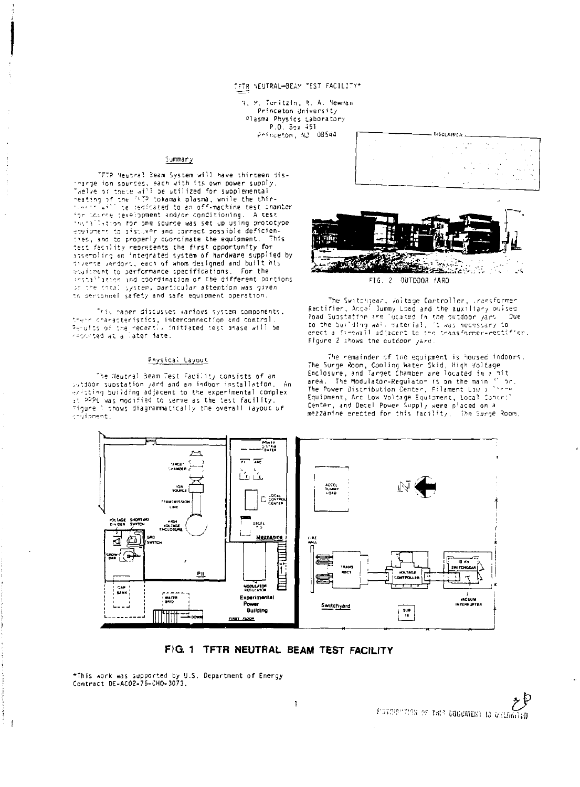# TETR NEUTRAL-BEAM TEST FACILITY\*

3. M. Turitzin, R. A. Newman Princeton University Plasma Physics Laboratory P.O. Box 451 Princeton, NJ 08544

#### Summary

TFTR Neutral Beam System will have thirteen dis-The contract the second with the own power supply.<br>Thelie of these will be utilized for supplemental<br>reating of the <sup>(472</sup> cokama k plasma, while the thir-<br>reating of the <sup>(472</sup> cokama k plasma, while the thirfor source development and/or conditioning. A test insiallation for the source was set up using prototype equipment to discuver and correct possible deficienres, and to properly coorcinate the equipment. This test facility represents the first opportunity for<br>assempling an integrated system of hardware supplied by diverse verdors, each of whom designed and built his equipment to performance specifications. For the installation and coordination of the different portions or the theal system, particular attention was given to personnel safety and safe equipment operation.

This caper discusses various system components, their characteristics, interconnection and control.<br>Perulss of the recertiv initiated test phase will be reported at a later date.

### Physical Layout

The Neutral Beam Test Facility consists of an sutdoor substation yard and an indoor installation. -An encode considering and an induotrinstallation, Artisting building adjacent to the experimental complex is the starting of the state of the state of the state of the state of the state of the state of the state of children





FIG. 2 OUTDOOR YARD

The Switchgear, Voltage Controller, Uransformer Rectifier, Acce<sup>t</sup> Dummy Load and the auxiliary buised Read Substation are "posted in the putdoon yars" - Due<br>to the building wall material, it was necessary to<br>enect a finewall adjacent to the thansformer-rectifier. Figure 2 shows the outdoor yard

The nemainder of the equipment is housed indoors. The Surge Room, Cooling Water Skid, High Voltage<br>Enclosure, and Target Chamber are located in a bit<br>area. The Modulator-Regulator is on the main flor.<br>The Power Distribution Center, Filament Low 7<sup>1</sup> 101. Equipment, Arc Low Voltage Equipment, Local Contr: center, and Decel Power Supply were placed on a<br>mezzanine erected for this facility. The Surge Room,



# FIG. 1 TFTR NEUTRAL BEAM TEST FACILITY

\*This work was supported by U.S. Department of Energy<br>Contract DE-ACO2-76-CHO-3073.

ł  $\bar{1}$ 

 $\mathcal{E}^{\rho}$ D'OVERPLICES OF THIS DEBUGNERY IS UNLIGHTUD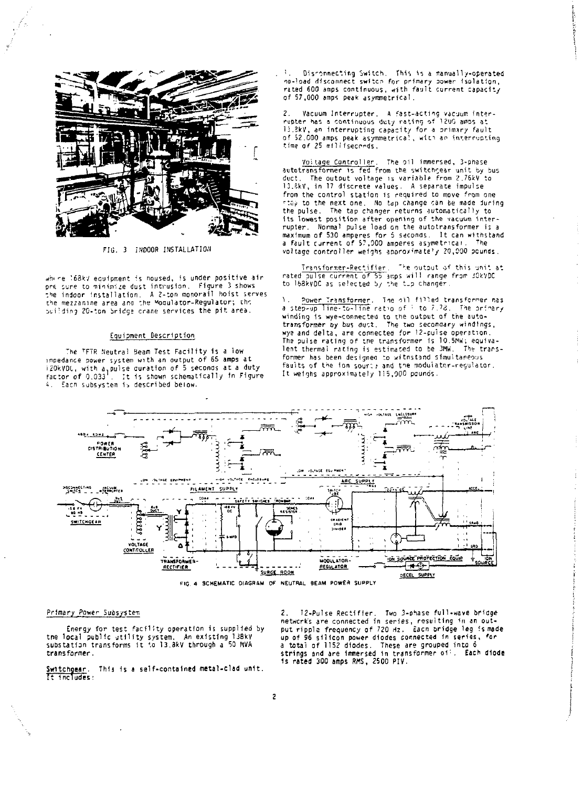

FIG. 3 INDOOR INSTALLATION

where  $168kV$  equipment is noused, is under positive air ore sure to minimize dust intrusion. Figure 3 shows the indoor installation. A 2-ton monorail hoist serves<br>the mezzanine area ana the Moqulator-Regulator; the sui'ding 20-ton bridge crane services the pit area.

# Equipment Description

he "FTR Neutral Beam Test Facility is a low".<br>Impedance power system with an output of 65 amps at i2OkVDL, with a<sub>n</sub>pulse duration of 5 seconds at a duty<br>factor of 0.033<sup>1</sup>. It is shown schematically in Figure factor of  $0.033^{1}$ . It is shown schematically in Figure 4. Each subsystem is described below.

**T**  . Disconnecting Switch. This 1s a manual ly-operated no-load disconnect swftcn for primary sower isolation , rated 600 amps continuous, with fault current capacity of 57,000 amps peak asymmetrical.

2. – Vacuum Interrupter, - A fast-acting vacuum inter-<br>rupter has a continuous duty rating of 1200 ambs at<br>13.3kV<sub>,</sub> an interrupting capacity for a orimary fault of 52.000 amps peak asymmetrical, with an interrupting<br>time of 25 milliseconds.

<u>Voitage Controller</u>. The oil immersed, 3-phase<br>autotransfo<del>rmer is fed from</del> the switchgear unit by bus duct. The output voltage is variable from 2.76kV to 13.8kV, in 17 discrete values. A separate impulse from the control station is required to move from one -tap to the next one. No tap change can be made luring the pulse. The tap changer returns automatically to its lowest position after opening of the vacuum interrupter. Normal pulse load on the autotransformer is a maximum of 530 amperes for 5 seconds. It can withstand<br>a fault current of 57,000 amperes asymetricai. The voltage controller weighs anorox'mate<sup>1</sup> / 20,000 pounds.

Transformer-Rectifier. The output of this unit at rated pulse current of 55 amps will range from JOkVDC to 168kvDC as selected by the tip changer.

1. <u>Power Transformer</u>. The bil filled transformer nas<br>a step-up line-to-line ratio of <sup>:</sup> to 7.78. The orimary winding is wye-connected to the output of the auto-transformer by bus duct. The two seconaary windings, wye and delta, *are* connectea for 12-pulse operation. The pulse rating of the transformer is 10.5MW; equivalent tbermal racing is estimated to be 3MW. The transformer has been designee to witnstand simultaneous faults of the ion sour; and the modulator-regulator. It weighs approximately 115,000 pounds.



# Primary Power Subsystem

Energy for test facility operation is supplied by<br>tne local public utility system. An existing 13BkV<br>substation transforms it io 13.3kV through a 50 MVA transformer.

Switchgear. This is a self-contained metal-clad unit.<br>It includes:

2. 72-Pulse Rectifier. Two 3-ohase full-wave bricge networks are connected in series, resulting in an out-<br>put rippla frequency of 720 Hz. Eacn bridge leg ismade up of 96 silicon power diodes connected in series, for<br>a total of 1152 diodes. These are grouped into 6<br>strings and are immersed in transformer oi:. Each diode 1s rated 300 amps RMS, 2500 PIV.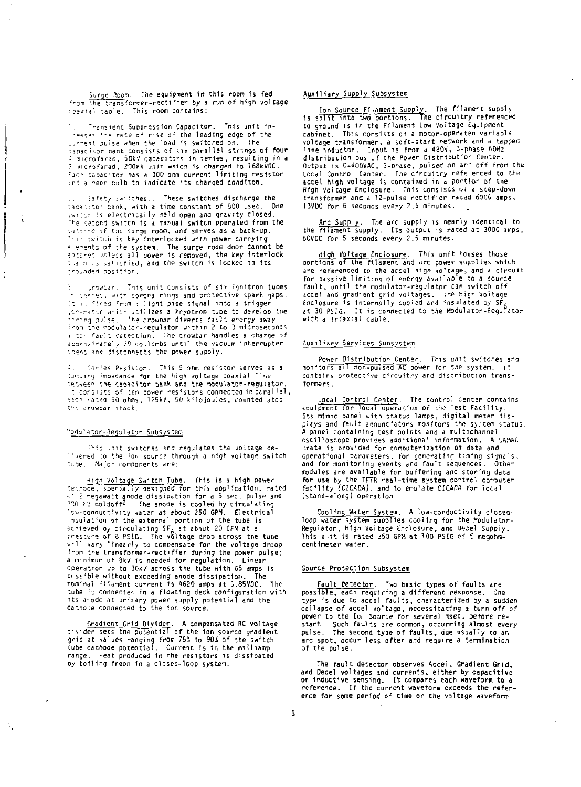Surge Room. The equipment in this room is fed from the transformer-rectifier by a run of high voltage coaxial canie. This room contains:

Transient Suppression Capacitor. This unit intheases the rate of rise of the leading edge of the current puise when the load is switched on. The capacitor pank consists of six parallel strings of four microfarad, 50kV capacitors in series, resulting in a 5 microfarad, 200kV unit which is charged to 168kVDC. Each capacitor has a 300 ohm current limiting resistor and a neon bulb to indicate its charged conditon.

Safety Switches.. These switches discharge the tapactor bank, with a time constant of 800 usec. One writer is electrically neld open and gravity closed. The second switch is a marual switch operated from the sutofide of the surge room, and serves as a back-up. "It switch is key interlocked with power carrying esements of the system. The surge room door cannot be<br>entered unless all power is removed, the key interlock chain is satisfied, and the switch is locked in its innunded position.

unowban. This unit consists of six ignitron tubes r series. with sorona rings and protective spark gaps. The first which compare things and procedure space.<br>It is fired from a light pipe signal into a trigger<br>profing pulse. The crowpar diverts fault energy away from the modulator-regulator within 2 to 3 microseconds inter fault detection. The crowbar handles a charge of approximately 20 coulombs until the vacuum interrupter poens and disconnects the power supply.

4. Series Pesistor. This 5 ohm resistor serves as a<br>dunoing impedance for the high voltage coaxial line setween the capacitor pank and the modulator-requiator t consists of ten power resistors connected in parallel, each rated 50 ohms, 125kV, 50 kilojoules, mounted atpp the crowbar stack.

# "odulator-Regulator Subsystem

This unit switches and regulates the voltage de-"Evered to the fon source through a nigh voltage switch tube. Major components are:

High Voltage Switch Tube. This is a high power terrore, specially designed for this application, rated<br>to 2 negawatt anode dissipation for a 5 sec. pulse and<br>200 kV noldoff<sup>2</sup>. The anode is cooled by circulating ow-conquetivity water at about 250 GPM, Electrical' insulation of the external portion of the tube is<br>achieved oy circulating SF<sub>5</sub> at about 20 CFM at a<br>pressure of 8 PSIG. The voltage drop across the tube<br>yill vary linearly to compensate for the voltage droop from the transformer-rectifier during the power pulse; a minimum of BkV is needed for regulation. Linear<br>Operation up to 30kV across the tube with 65 amps is The prissible without exceeding anode dissipation. nominal filament current is 4620 amps at 3,85VDC. The tube 's connectec in a floating deck configuration with its anode at primary power supply potential and the<br>cathole connected to the ion source.

Sradient Grid Divider. A compensated RC voltage<br>bivider sets the potential of the ion source gradient grid at values ranging from 75% to 90% of the switch tube cathode potential. Current is in the milliamp range. Heat produced in the resistors is dissipated by boiling freon in a closed-loop system.

#### Auxiliary Supply Subsystem

Ion Source Fixament Supply. The filament supply<br>is split into two portions. The circuitry referenced to ground is in the Filament Low Voltage Equipment cabinet. This consists of a motor-operated variable voltage transformer, a soft-start network and a tapped line inductor. Input is from a 480V, 3-phase 60Hz distribution ous of the Power Distribution Center. Output is 0-400VAC, 3-phase, pulsed on an' off from the Local Control Center. The circuitry refe enced to the accel high voltage is contained in a portion of the High Voitage Enclosure. This consists of a step-down transformer and a 12-pulse rectifier rated 6006 amps,<br>13900 for 6 seconds every 2.5 minutes.

Arc Supply. The arc supply is nearly identical to<br>the filament supply. Its output is rated at 3000 amps, 50VDC for 5 seconds every 2.5 minutes.

High Voltage Enclosure. This unit houses those<br>portions of the filament and arc power supplies which are referenced to the accel high voltage, and a circuit for passive limiting of energy available to a source fault, until the modulator-regulator can switch off Accel and gradient grid voltages. The High Voltage<br>Enclosure is internally cooled and insulated by SF<sub>6</sub><br>at 30 PSIG. It is connected to the Modulator-Regulator  $with a trial cable$ 

#### Auxiliary Services Subsystem

Power Distribution Center. This unit switches and<br>nonitors all non-puised AC power for the system. It contains protective circuitry and distribution transformers.

Local Control Center, The control Center contains equipment for local operation of the Test Facility. Its mimic panel with status lamps, digital meter dis-<br>plays and fault annunciators monitors the syctem status. A panel containing test points and a multichannel oscilloscope provides additional information. A CAMAC trate is provided for computerization of data and operational parameters, for generating timing signals, and for monitoring events and fault sequences. Other modules are available for buffering and storing data for use by the TFTR real-time system control computer facility (CICADA), and to emulate CICADA for local (stand-along) operation.

Cooling Water System. A low-conductivity closedloop water system supplies cooling for the Modulator-Regulator, High Voltage Enclosure, and Decel Supply.<br>This unit is rated 350 GPM at 100 PSIG of 5 megohm-<br>centimeter water.

# Source Protection Subsystem

Fault Detector. Two basic types of faults are possible, each requiring a different response. One type is due to accel faults, characterized by a sudden collapse of accel voltage, necessitating a turn off of power to the Ion Source for several msec, before restart. Such faults are common, occurring almost every<br>pulse. The second type of faults, due usually to an arc spot, occur less often and require a termination of the pulse.

The fault detector observes Accel, Gradient Grid. and Decel voltages and currents, either by capacitive or inductive sensing. It compares each waveform to a reference. If the current wavetorm exceeds the reference for some period of time or the voltage waveform